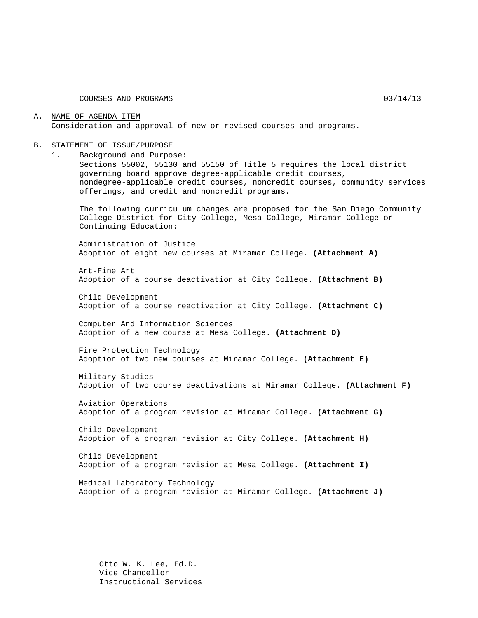COURSES AND PROGRAMS 03/14/13

#### A. NAME OF AGENDA ITEM Consideration and approval of new or revised courses and programs.

#### B. STATEMENT OF ISSUE/PURPOSE

1. Background and Purpose:

Sections 55002, 55130 and 55150 of Title 5 requires the local district governing board approve degree-applicable credit courses, nondegree-applicable credit courses, noncredit courses, community services offerings, and credit and noncredit programs.

The following curriculum changes are proposed for the San Diego Community College District for City College, Mesa College, Miramar College or Continuing Education:

Administration of Justice Adoption of eight new courses at Miramar College. **(Attachment A)**

Art-Fine Art Adoption of a course deactivation at City College. **(Attachment B)**

Child Development Adoption of a course reactivation at City College. **(Attachment C)**

Computer And Information Sciences Adoption of a new course at Mesa College. **(Attachment D)**

Fire Protection Technology Adoption of two new courses at Miramar College. **(Attachment E)**

Military Studies Adoption of two course deactivations at Miramar College. **(Attachment F)**

Aviation Operations Adoption of a program revision at Miramar College. **(Attachment G)**

Child Development Adoption of a program revision at City College. **(Attachment H)**

Child Development Adoption of a program revision at Mesa College. **(Attachment I)**

Medical Laboratory Technology Adoption of a program revision at Miramar College. **(Attachment J)**

Otto W. K. Lee, Ed.D. Vice Chancellor Instructional Services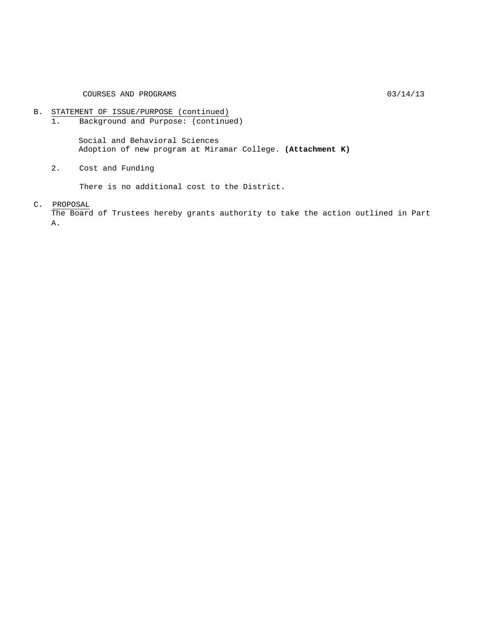# B. STATEMENT OF ISSUE/PURPOSE (continued)<br>1. Background and Purpose: (continue

Background and Purpose: (continued)

Social and Behavioral Sciences Adoption of new program at Miramar College. **(Attachment K)**

2. Cost and Funding

There is no additional cost to the District.

#### C. PROPOSAL

The Board of Trustees hereby grants authority to take the action outlined in Part A.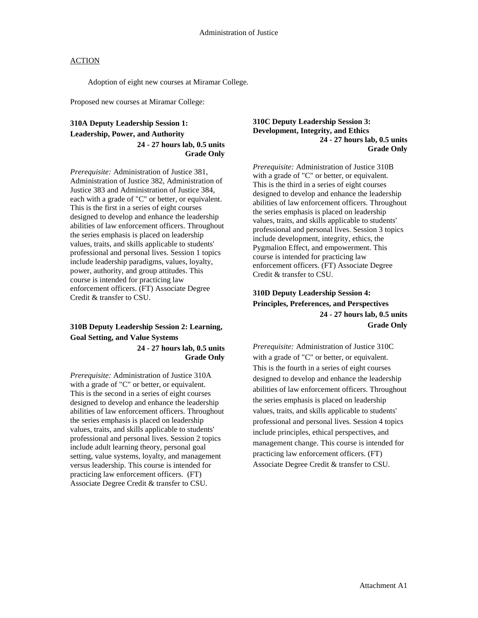Adoption of eight new courses at Miramar College.

Proposed new courses at Miramar College:

#### **310A Deputy Leadership Session 1: Leadership, Power, and Authority 24 - 27 hours lab, 0.5 units Grade Only**

*Prerequisite:* Administration of Justice 381, Administration of Justice 382, Administration of Justice 383 and Administration of Justice 384, each with a grade of "C" or better, or equivalent. This is the first in a series of eight courses designed to develop and enhance the leadership abilities of law enforcement officers. Throughout the series emphasis is placed on leadership values, traits, and skills applicable to students' professional and personal lives. Session 1 topics include leadership paradigms, values, loyalty, power, authority, and group attitudes. This course is intended for practicing law enforcement officers. (FT) Associate Degree Credit & transfer to CSU.

# **310B Deputy Leadership Session 2: Learning, Goal Setting, and Value Systems**

**24 - 27 hours lab, 0.5 units Grade Only**

*Prerequisite:* Administration of Justice 310A with a grade of "C" or better, or equivalent. This is the second in a series of eight courses designed to develop and enhance the leadership abilities of law enforcement officers. Throughout the series emphasis is placed on leadership values, traits, and skills applicable to students' professional and personal lives. Session 2 topics include adult learning theory, personal goal setting, value systems, loyalty, and management versus leadership. This course is intended for practicing law enforcement officers. (FT) Associate Degree Credit & transfer to CSU.

#### **310C Deputy Leadership Session 3: Development, Integrity, and Ethics 24 - 27 hours lab, 0.5 units Grade Only**

*Prerequisite:* Administration of Justice 310B with a grade of "C" or better, or equivalent. This is the third in a series of eight courses designed to develop and enhance the leadership abilities of law enforcement officers. Throughout the series emphasis is placed on leadership values, traits, and skills applicable to students' professional and personal lives. Session 3 topics include development, integrity, ethics, the Pygmalion Effect, and empowerment. This course is intended for practicing law enforcement officers. (FT) Associate Degree Credit & transfer to CSU.

### **310D Deputy Leadership Session 4: Principles, Preferences, and Perspectives 24 - 27 hours lab, 0.5 units Grade Only**

*Prerequisite:* Administration of Justice 310C with a grade of "C" or better, or equivalent. This is the fourth in a series of eight courses designed to develop and enhance the leadership abilities of law enforcement officers. Throughout the series emphasis is placed on leadership values, traits, and skills applicable to students' professional and personal lives. Session 4 topics include principles, ethical perspectives, and management change. This course is intended for practicing law enforcement officers. (FT) Associate Degree Credit & transfer to CSU.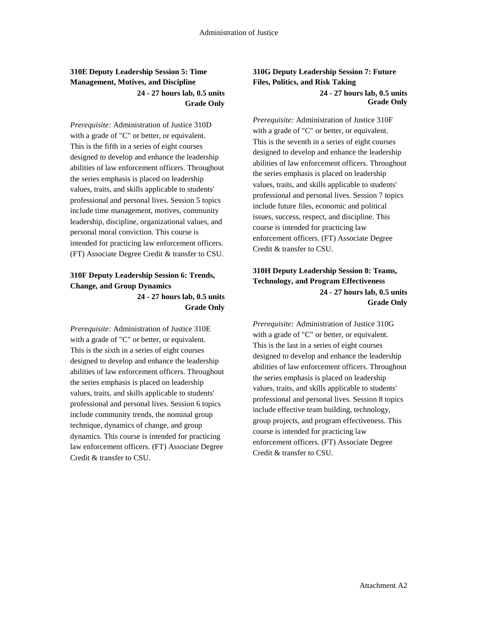### **310E Deputy Leadership Session 5: Time Management, Motives, and Discipline 24 - 27 hours lab, 0.5 units Grade Only**

*Prerequisite:* Administration of Justice 310D with a grade of "C" or better, or equivalent. This is the fifth in a series of eight courses designed to develop and enhance the leadership abilities of law enforcement officers. Throughout the series emphasis is placed on leadership values, traits, and skills applicable to students' professional and personal lives. Session 5 topics include time management, motives, community leadership, discipline, organizational values, and personal moral conviction. This course is intended for practicing law enforcement officers. (FT) Associate Degree Credit & transfer to CSU.

### **310F Deputy Leadership Session 6: Trends, Change, and Group Dynamics 24 - 27 hours lab, 0.5 units**

**Grade Only**

*Prerequisite:* Administration of Justice 310E with a grade of "C" or better, or equivalent. This is the sixth in a series of eight courses designed to develop and enhance the leadership abilities of law enforcement officers. Throughout the series emphasis is placed on leadership values, traits, and skills applicable to students' professional and personal lives. Session 6 topics include community trends, the nominal group technique, dynamics of change, and group dynamics. This course is intended for practicing law enforcement officers. (FT) Associate Degree Credit & transfer to CSU.

### **310G Deputy Leadership Session 7: Future Files, Politics, and Risk Taking 24 - 27 hours lab, 0.5 units Grade Only**

*Prerequisite:* Administration of Justice 310F with a grade of "C" or better, or equivalent. This is the seventh in a series of eight courses designed to develop and enhance the leadership abilities of law enforcement officers. Throughout the series emphasis is placed on leadership values, traits, and skills applicable to students' professional and personal lives. Session 7 topics include future files, economic and political issues, success, respect, and discipline. This course is intended for practicing law enforcement officers. (FT) Associate Degree Credit & transfer to CSU.

### **310H Deputy Leadership Session 8: Teams, Technology, and Program Effectiveness 24 - 27 hours lab, 0.5 units Grade Only**

*Prerequisite:* Administration of Justice 310G with a grade of "C" or better, or equivalent. This is the last in a series of eight courses designed to develop and enhance the leadership abilities of law enforcement officers. Throughout the series emphasis is placed on leadership values, traits, and skills applicable to students' professional and personal lives. Session 8 topics include effective team building, technology, group projects, and program effectiveness. This course is intended for practicing law enforcement officers. (FT) Associate Degree Credit & transfer to CSU.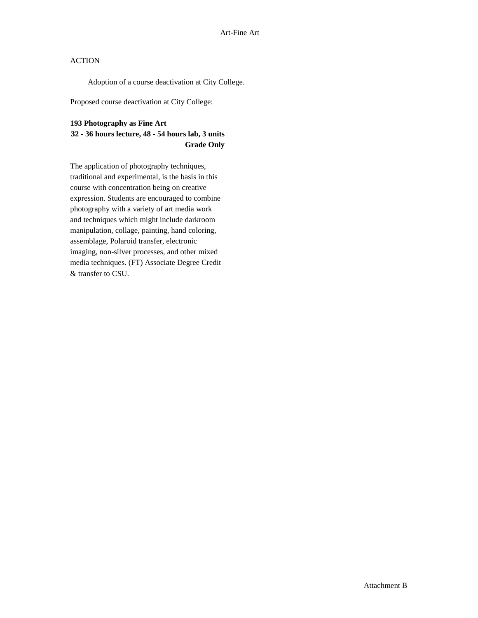Adoption of a course deactivation at City College.

Proposed course deactivation at City College:

#### **193 Photography as Fine Art**

#### **32 - 36 hours lecture, 48 - 54 hours lab, 3 units Grade Only**

The application of photography techniques, traditional and experimental, is the basis in this course with concentration being on creative expression. Students are encouraged to combine photography with a variety of art media work and techniques which might include darkroom manipulation, collage, painting, hand coloring, assemblage, Polaroid transfer, electronic imaging, non-silver processes, and other mixed media techniques. (FT) Associate Degree Credit & transfer to CSU.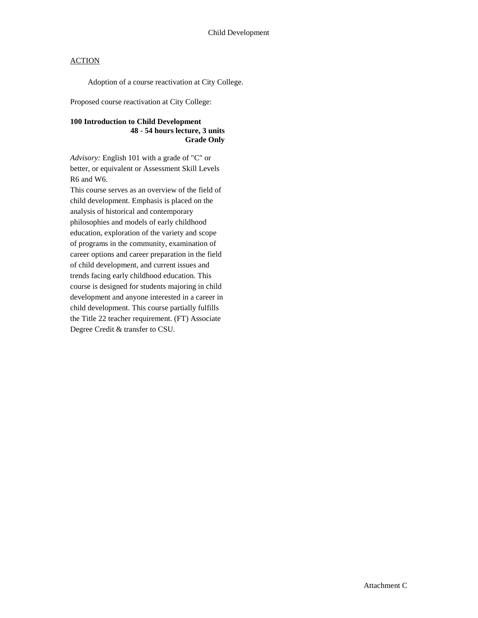Adoption of a course reactivation at City College.

Proposed course reactivation at City College:

#### **100 Introduction to Child Development 48 - 54 hours lecture, 3 units Grade Only**

*Advisory:* English 101 with a grade of "C" or better, or equivalent or Assessment Skill Levels R6 and W6.

This course serves as an overview of the field of child development. Emphasis is placed on the analysis of historical and contemporary philosophies and models of early childhood education, exploration of the variety and scope of programs in the community, examination of career options and career preparation in the field of child development, and current issues and trends facing early childhood education. This course is designed for students majoring in child development and anyone interested in a career in child development. This course partially fulfills the Title 22 teacher requirement. (FT) Associate Degree Credit & transfer to CSU.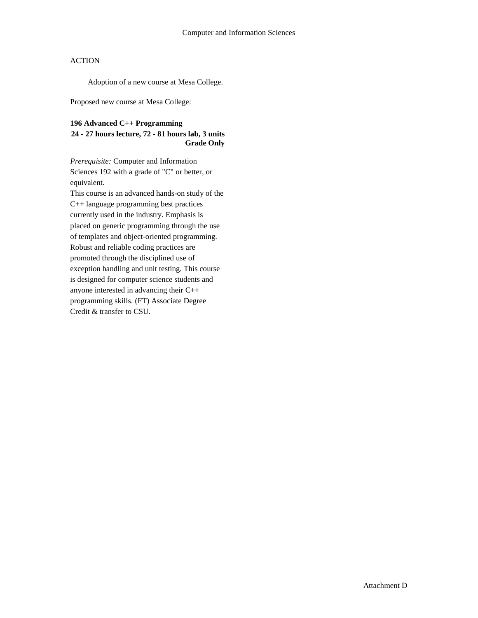Adoption of a new course at Mesa College.

Proposed new course at Mesa College:

#### **196 Advanced C++ Programming**

#### **24 - 27 hours lecture, 72 - 81 hours lab, 3 units Grade Only**

*Prerequisite:* Computer and Information Sciences 192 with a grade of "C" or better, or equivalent.

This course is an advanced hands-on study of the C++ language programming best practices currently used in the industry. Emphasis is placed on generic programming through the use of templates and object-oriented programming. Robust and reliable coding practices are promoted through the disciplined use of exception handling and unit testing. This course is designed for computer science students and anyone interested in advancing their C++ programming skills. (FT) Associate Degree Credit & transfer to CSU.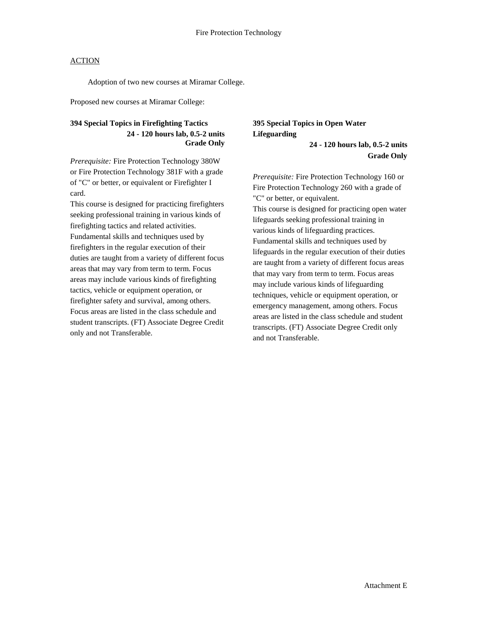Adoption of two new courses at Miramar College.

Proposed new courses at Miramar College:

#### **394 Special Topics in Firefighting Tactics 24 - 120 hours lab, 0.5-2 units Grade Only**

*Prerequisite:* Fire Protection Technology 380W or Fire Protection Technology 381F with a grade of "C" or better, or equivalent or Firefighter I card.

This course is designed for practicing firefighters seeking professional training in various kinds of firefighting tactics and related activities. Fundamental skills and techniques used by firefighters in the regular execution of their duties are taught from a variety of different focus areas that may vary from term to term. Focus areas may include various kinds of firefighting tactics, vehicle or equipment operation, or firefighter safety and survival, among others. Focus areas are listed in the class schedule and student transcripts. (FT) Associate Degree Credit only and not Transferable.

# **395 Special Topics in Open Water Lifeguarding**

**24 - 120 hours lab, 0.5-2 units Grade Only**

*Prerequisite:* Fire Protection Technology 160 or Fire Protection Technology 260 with a grade of "C" or better, or equivalent.

This course is designed for practicing open water lifeguards seeking professional training in various kinds of lifeguarding practices. Fundamental skills and techniques used by lifeguards in the regular execution of their duties are taught from a variety of different focus areas that may vary from term to term. Focus areas may include various kinds of lifeguarding techniques, vehicle or equipment operation, or emergency management, among others. Focus areas are listed in the class schedule and student transcripts. (FT) Associate Degree Credit only and not Transferable.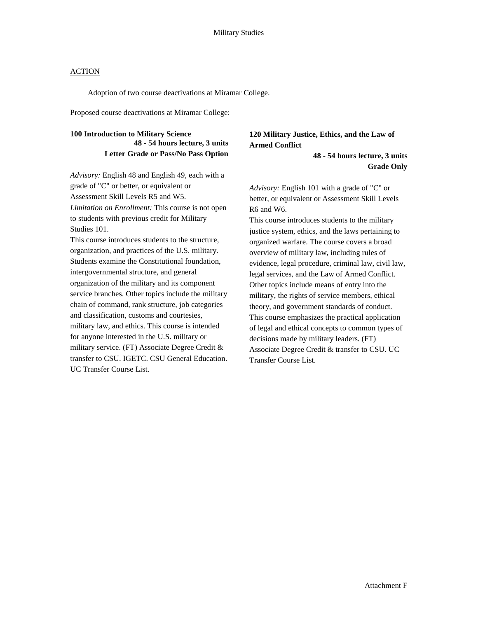Adoption of two course deactivations at Miramar College.

Proposed course deactivations at Miramar College:

#### **100 Introduction to Military Science 48 - 54 hours lecture, 3 units Letter Grade or Pass/No Pass Option**

*Advisory:* English 48 and English 49, each with a grade of "C" or better, or equivalent or Assessment Skill Levels R5 and W5. *Limitation on Enrollment:* This course is not open to students with previous credit for Military Studies 101.

This course introduces students to the structure, organization, and practices of the U.S. military. Students examine the Constitutional foundation, intergovernmental structure, and general organization of the military and its component service branches. Other topics include the military chain of command, rank structure, job categories and classification, customs and courtesies, military law, and ethics. This course is intended for anyone interested in the U.S. military or military service. (FT) Associate Degree Credit & transfer to CSU. IGETC. CSU General Education. UC Transfer Course List.

### **120 Military Justice, Ethics, and the Law of Armed Conflict**

**48 - 54 hours lecture, 3 units Grade Only**

*Advisory:* English 101 with a grade of "C" or better, or equivalent or Assessment Skill Levels R6 and W6.

This course introduces students to the military justice system, ethics, and the laws pertaining to organized warfare. The course covers a broad overview of military law, including rules of evidence, legal procedure, criminal law, civil law, legal services, and the Law of Armed Conflict. Other topics include means of entry into the military, the rights of service members, ethical theory, and government standards of conduct. This course emphasizes the practical application of legal and ethical concepts to common types of decisions made by military leaders. (FT) Associate Degree Credit & transfer to CSU. UC Transfer Course List.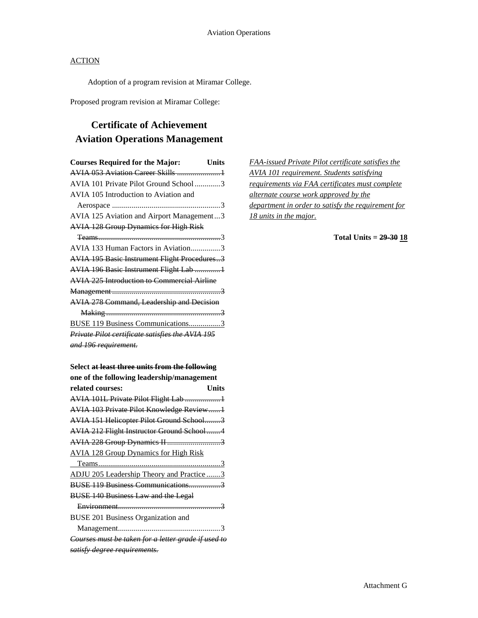Adoption of a program revision at Miramar College.

Proposed program revision at Miramar College:

# **Certificate of Achievement Aviation Operations Management**

| <b>Courses Required for the Major:</b><br>Units     |
|-----------------------------------------------------|
| <b>AVIA 053 Aviation Career Skills 1</b>            |
| AVIA 101 Private Pilot Ground School3               |
| AVIA 105 Introduction to Aviation and               |
|                                                     |
| AVIA 125 Aviation and Airport Management3           |
| <b>AVIA 128 Group Dynamics for High Risk</b>        |
|                                                     |
| AVIA 133 Human Factors in Aviation3                 |
| <b>AVIA 195 Basic Instrument Flight Procedures3</b> |
| <b>AVIA 196 Basic Instrument Flight Lab 1</b>       |
| <b>AVIA 225 Introduction to Commercial Airline</b>  |
|                                                     |
| AVIA 278 Command, Leadership and Decision           |
|                                                     |
| <b>BUSE 119 Business Communications3</b>            |
| Private Pilot certificate satisfies the AVIA 195    |
| and 196 requirement.                                |
|                                                     |

| <b>FAA-issued Private Pilot certificate satisfies the</b> |  |
|-----------------------------------------------------------|--|
| <b>AVIA 101 requirement. Students satisfying</b>          |  |
| requirements via FAA certificates must complete           |  |
| alternate course work approved by the                     |  |
| department in order to satisfy the requirement for        |  |
| 18 units in the major.                                    |  |

**Total Units = 29-30 18**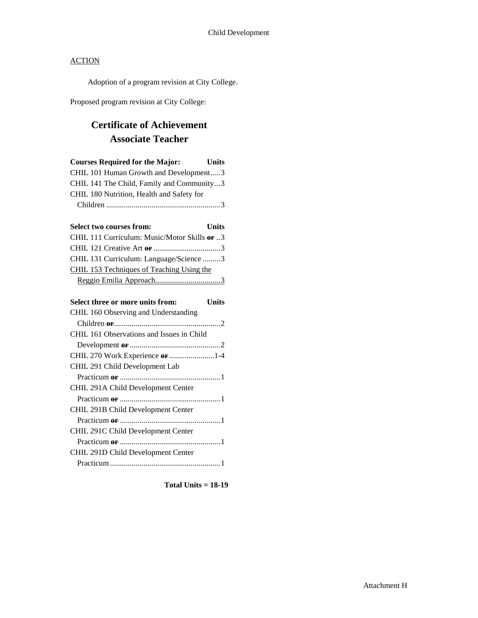Adoption of a program revision at City College.

Proposed program revision at City College:

# **Certificate of Achievement Associate Teacher**

| <b>Courses Required for the Major:</b>       | Units        |
|----------------------------------------------|--------------|
| CHIL 101 Human Growth and Development3       |              |
| CHIL 141 The Child, Family and Community3    |              |
| CHIL 180 Nutrition, Health and Safety for    |              |
|                                              |              |
| <b>Select two courses from:</b>              | <b>Units</b> |
| CHIL 111 Curriculum: Music/Motor Skills or 3 |              |
|                                              |              |
| CHIL 131 Curriculum: Language/Science 3      |              |
| CHIL 153 Techniques of Teaching Using the    |              |
|                                              |              |
| Select three or more units from:             | <b>Units</b> |
| CHIL 160 Observing and Understanding         |              |
|                                              |              |
| CHIL 161 Observations and Issues in Child    |              |
|                                              |              |
| CHIL 270 Work Experience or 1-4              |              |
| CHIL 291 Child Development Lab               |              |
|                                              |              |
| CHIL 291A Child Development Center           |              |
|                                              |              |
| CHIL 291B Child Development Center           |              |
|                                              |              |
| CHIL 291C Child Development Center           |              |
|                                              |              |
| CHIL 291D Child Development Center           |              |
|                                              |              |

**Total Units = 18-19**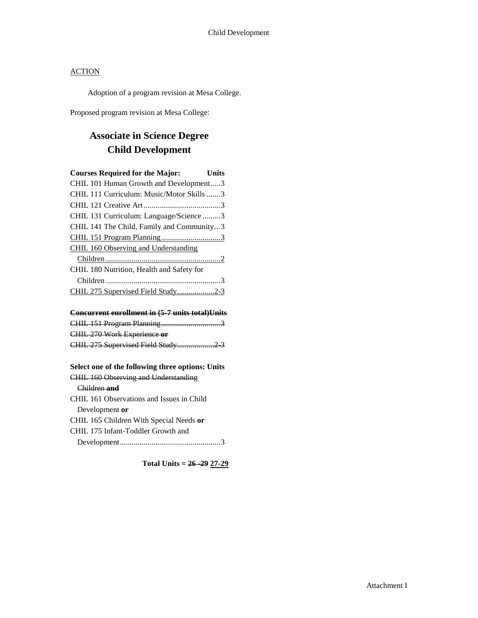Adoption of a program revision at Mesa College.

Proposed program revision at Mesa College:

# **Associate in Science Degree Child Development**

| <b>Courses Required for the Major:</b>    | Units |
|-------------------------------------------|-------|
| CHIL 101 Human Growth and Development3    |       |
| CHIL 111 Curriculum: Music/Motor Skills 3 |       |
|                                           |       |
| CHIL 131 Curriculum: Language/Science 3   |       |
| CHIL 141 The Child, Family and Community3 |       |
|                                           |       |
| CHIL 160 Observing and Understanding      |       |
|                                           |       |
| CHIL 180 Nutrition, Health and Safety for |       |
|                                           |       |
| CHIL 275 Supervised Field Study2-3        |       |

#### **Concurrent enrollment in (5-7 units total)Units**

| CHIL 270 Work Experience or |  |
|-----------------------------|--|
|                             |  |

# **Select one of the following three options: Units**

# CHIL 160 Observing and Understanding

#### Children **and**

CHIL 161 Observations and Issues in Child Development **or** CHIL 165 Children With Special Needs **or** CHIL 175 Infant-Toddler Growth and Development...................................................3

**Total Units = 26 -29 27-29**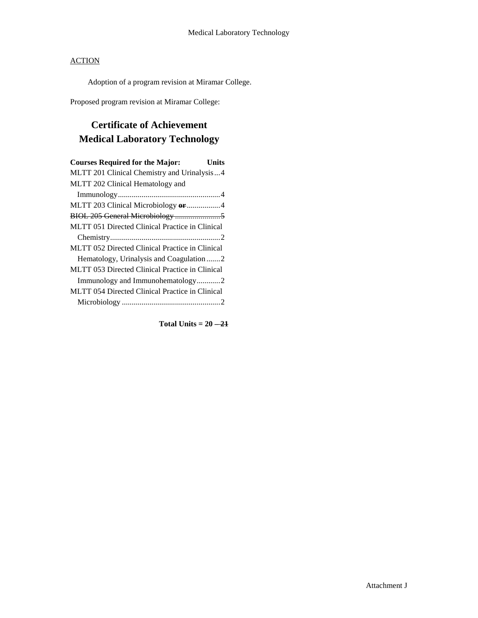Adoption of a program revision at Miramar College.

Proposed program revision at Miramar College:

# **Certificate of Achievement Medical Laboratory Technology**

| <b>Courses Required for the Major:</b><br>Units |
|-------------------------------------------------|
| MLTT 201 Clinical Chemistry and Urinalysis4     |
| MLTT 202 Clinical Hematology and                |
|                                                 |
| MLTT 203 Clinical Microbiology or 4             |
|                                                 |
| MLTT 051 Directed Clinical Practice in Clinical |
|                                                 |
| MLTT 052 Directed Clinical Practice in Clinical |
| Hematology, Urinalysis and Coagulation2         |
| MLTT 053 Directed Clinical Practice in Clinical |
| Immunology and Immunohematology2                |
| MLTT 054 Directed Clinical Practice in Clinical |
|                                                 |

Total Units  $= 20 - 21$